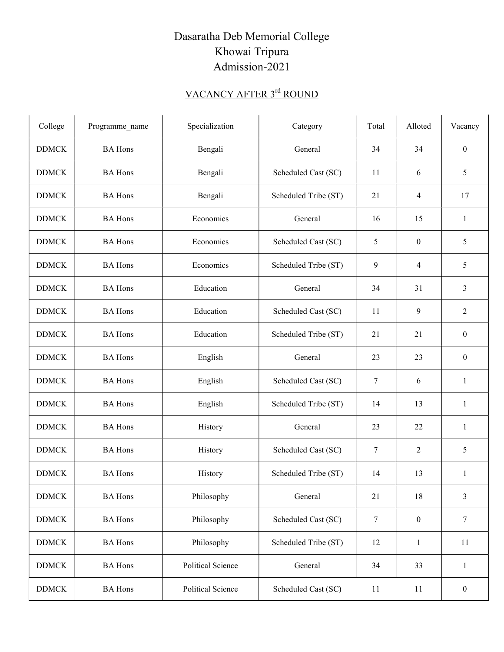## Dasaratha Deb Memorial College Khowai Tripura Admission-2021

## VACANCY AFTER 3<sup>rd</sup> ROUND

| College      | Programme_name | Specialization           | Category             | Total  | Alloted          | Vacancy          |
|--------------|----------------|--------------------------|----------------------|--------|------------------|------------------|
| <b>DDMCK</b> | <b>BA</b> Hons | Bengali                  | General              | 34     | 34               | $\boldsymbol{0}$ |
| <b>DDMCK</b> | <b>BA</b> Hons | Bengali                  | Scheduled Cast (SC)  | 11     | 6                | 5                |
| <b>DDMCK</b> | <b>BA</b> Hons | Bengali                  | Scheduled Tribe (ST) | 21     | 4                | 17               |
| <b>DDMCK</b> | <b>BA</b> Hons | Economics                | General              | 16     | 15               | 1                |
| <b>DDMCK</b> | <b>BA</b> Hons | Economics                | Scheduled Cast (SC)  | 5      | $\mathbf{0}$     | 5                |
| <b>DDMCK</b> | <b>BA</b> Hons | Economics                | Scheduled Tribe (ST) | 9      | 4                | 5                |
| <b>DDMCK</b> | <b>BA</b> Hons | Education                | General              | 34     | 31               | 3                |
| <b>DDMCK</b> | <b>BA</b> Hons | Education                | Scheduled Cast (SC)  | 11     | 9                | $\overline{2}$   |
| <b>DDMCK</b> | <b>BA</b> Hons | Education                | Scheduled Tribe (ST) | 21     | 21               | $\boldsymbol{0}$ |
| <b>DDMCK</b> | <b>BA</b> Hons | English                  | General              | 23     | 23               | $\mathbf{0}$     |
| <b>DDMCK</b> | <b>BA</b> Hons | English                  | Scheduled Cast (SC)  | 7      | 6                | $\mathbf{1}$     |
| <b>DDMCK</b> | <b>BA</b> Hons | English                  | Scheduled Tribe (ST) | 14     | 13               | $\mathbf{1}$     |
| <b>DDMCK</b> | <b>BA</b> Hons | History                  | General              | 23     | 22               | 1                |
| <b>DDMCK</b> | <b>BA</b> Hons | History                  | Scheduled Cast (SC)  | 7      | 2                | 5                |
| <b>DDMCK</b> | <b>BA</b> Hons | History                  | Scheduled Tribe (ST) | 14     | 13               | 1                |
| <b>DDMCK</b> | <b>BA</b> Hons | Philosophy               | General              | 21     | 18               | 3                |
| <b>DDMCK</b> | <b>BA</b> Hons | Philosophy               | Scheduled Cast (SC)  | $\tau$ | $\boldsymbol{0}$ | $\tau$           |
| <b>DDMCK</b> | <b>BA</b> Hons | Philosophy               | Scheduled Tribe (ST) | 12     | 1                | 11               |
| <b>DDMCK</b> | <b>BA</b> Hons | <b>Political Science</b> | General              | 34     | 33               | $\mathbf{1}$     |
| <b>DDMCK</b> | <b>BA</b> Hons | <b>Political Science</b> | Scheduled Cast (SC)  | 11     | 11               | $\boldsymbol{0}$ |